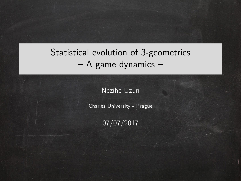# Statistical evolution of 3-geometries – A game dynamics –

Nezihe Uzun

Charles University - Prague

07/07/2017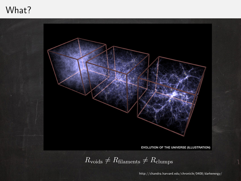## What?



http://chandra.harvard.edu/chronicle/0408/darkenergy/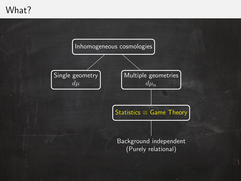# What?

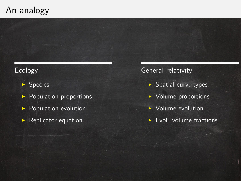# An analogy

#### Ecology

- $\blacktriangleright$  Species
- $\blacktriangleright$  Population proportions
- $\blacktriangleright$  Population evolution
- $\blacktriangleright$  Replicator equation

General relativity

- $\blacktriangleright$  Spatial curv. types
- $\triangleright$  Volume proportions
- $\triangleright$  Volume evolution
- $\blacktriangleright$  Evol. volume fractions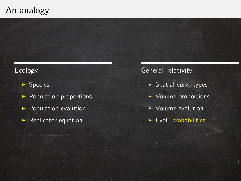# An analogy

#### Ecology

- $\blacktriangleright$  Species
- $\blacktriangleright$  Population proportions
- **Population evolution**
- $\blacktriangleright$  Replicator equation

General relativity

- $\blacktriangleright$  Spatial curv. types
- $\triangleright$  Volume proportions
- $\triangleright$  Volume evolution
- $\blacktriangleright$  Evol. probabilities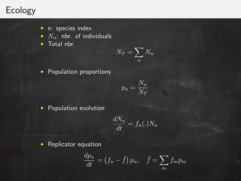# Ecology

- $\triangleright$  n: species index
- $\blacktriangleright$   $N_n$ : nbr. of individuals
- $\blacktriangleright$  Total nbr.

$$
N_T = \sum_n N_n
$$

 $\blacktriangleright$  Population proportions

$$
p_n = \frac{N_n}{N_T}
$$

 $\blacktriangleright$  Population evolution

$$
\frac{dN_n}{dt} = f_n(.)N_n
$$

 $\blacktriangleright$  Replicator equation

$$
\frac{dp_n}{dt} = \left(f_n - \bar{f}\right)p_n, \quad \bar{f} = \sum_m f_m p_m
$$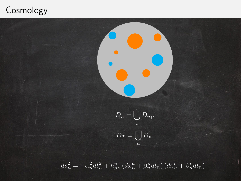# **Cosmology**



 $ds_n^2 = -\alpha_n^2 dt_n^2 + h_{\mu\nu}^n (dx_n^{\mu} + \beta_n^{\mu} dt_n) (dx_n^{\nu} + \beta_n^{\nu} dt_n)$ .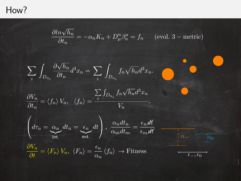## How?

 $\partial ln\sqrt{h_n}$  $rac{n\sqrt{n_n}}{\partial t_n} = -\alpha_n K_n + D_\mu^n \beta_n^\mu = f_n$  (evol. 3 – metric)  $\sum$ i  $\overline{z}$  $D_{n_i}$  $\partial \sqrt{h_n}$  $\frac{\partial u_n}{\partial t_n}d^3x_n=\sum_i$ i Z  $D_{n_i}$  $f_n\sqrt{h_n}d^3x_n.$  $\partial V_n$  $\frac{\partial f_n}{\partial t_n} = \langle f_n \rangle V_n, \quad \langle f_n \rangle =$  $\sum$ i  $\int_{D_{n_i}} f_n \sqrt{h_n} d^3x_n$  $V_n$  $\sqrt{ }$  $\left(\frac{d\tau_n}{\tau_n}\right) = \underbrace{\alpha_n}_{\text{int.}}$  $dt_n = \frac{1}{n} \epsilon_n$  $ext.$ dt  $\setminus$  $\Bigg\}, \frac{\alpha_n dt_n}{\alpha_m dt_n}$  $\frac{\alpha_n dt_n}{\alpha_m dt_m} = \frac{\epsilon_n$ dt  $\epsilon_m$ dt  $\frac{\partial V_n}{\partial t} = \braket{F_n}{V_n}, \,\, \braket{F_n} = \frac{\epsilon_n}{\alpha_n}$  $\frac{\partial n}{\partial n} \langle f_n \rangle \to \text{Fitness}$  $\alpha$ <sub>−</sub>  $\alpha_0$  $\epsilon_-, \epsilon_0$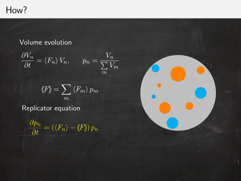# How?

#### Volume evolution

$$
\frac{\partial V_n}{\partial t} = \langle F_n \rangle V_n, \qquad p_n = \frac{V_n}{\sum_{m=1}^{N} V_m}
$$

$$
\langle F \rangle = \sum_{m} \langle F_{m} \rangle p_{m}
$$

Replicator equation

 $rac{\partial p_n}{\partial t}$  $=\left(\langle F_n\rangle - \langle F\rangle\right) p_n$ 

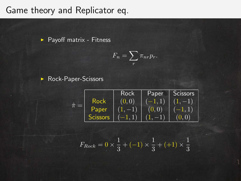## Game theory and Replicator eq.

 $\blacktriangleright$  Payoff matrix - Fitness

$$
F_n = \sum_r \pi_{nr} p_r.
$$

▶ Rock-Paper-Scissors



$$
F_{Rock} = 0 \times \frac{1}{3} + (-1) \times \frac{1}{3} + (+1) \times \frac{1}{3}
$$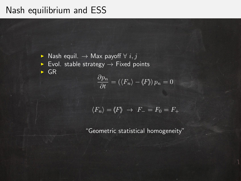# Nash equilibrium and ESS

► Nash equil.  $\rightarrow$  Max payoff  $\forall i, j$ 

 $\triangleright$  Evol. stable strategy  $\rightarrow$  Fixed points

 $\triangleright$  GR

$$
\frac{\partial p_n}{\partial t} = (\langle F_n \rangle - \langle F_n \rangle) p_n = 0
$$

$$
\langle F_n \rangle = \langle F \rangle \rightarrow F_- = F_0 = F_+
$$

"Geometric statistical homogeneity"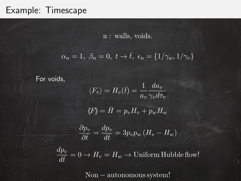## Example: Timescape

n : walls, voids.

$$
\alpha_n = 1, \ \beta_n = 0, \ t \to \bar{t}, \ \epsilon_n = \{1/\gamma_w, 1/\gamma_v\}
$$

For voids,

$$
\langle F_v \rangle = H_v(\bar{t}) = \frac{1}{a_v} \frac{da_v}{\gamma_v d\tau_v}
$$

$$
\langle F \rangle = \bar{H} = p_v H_v + p_w H_w
$$

$$
\frac{\partial p_v}{\partial \bar{t}} = \frac{dp_v}{d\bar{t}} = 3p_v p_w (H_v - H_w)
$$

 $dp_v$  $\frac{dPv}{d\bar{t}} = 0 \to H_v = H_w \to \text{Uniform Hubble flow!}$ 

Non − autonomous system!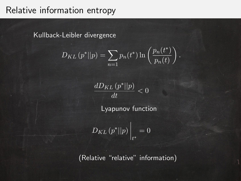## Relative information entropy

Kullback-Leibler divergence

$$
D_{KL}(p^*||p) = \sum_{n=1} p_n(t^*) \ln\left(\frac{p_n(t^*)}{p_n(t)}\right).
$$

$$
\frac{dD_{KL}\left(p^*||p\right)}{dt} < 0
$$

Lyapunov function

$$
D_{KL}\left(p^*||p\right)\Big|_{t^*} = 0
$$

(Relative "relative" information)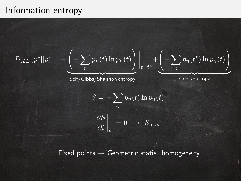## Information entropy

$$
D_{KL}(p^*||p) = -\underbrace{\left(-\sum_n p_n(t)\ln p_n(t)\right)}_{\text{Self/Gibbs/Shannon entropy}}\Bigg|_{t=t^*} + \underbrace{\left(-\sum_n p_n(t^*)\ln p_n(t)\right)}_{\text{Cross entropy}}
$$

$$
S = -\sum_{n} p_n(t) \ln p_n(t)
$$

$$
\frac{\partial S}{\partial t}\Big|_{t^*} = 0 \rightarrow S_{\text{max}}
$$

Fixed points  $\rightarrow$  Geometric statis. homogeneity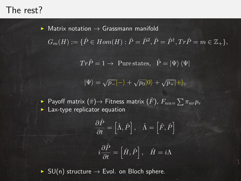## The rest?

 $\triangleright$  Matrix notation  $\rightarrow$  Grassmann manifold

 $G_m(H) := \{ \hat{P} \in Hom(H) : \hat{P} = \hat{P}^2, \hat{P} = \hat{P}^{\dagger}, Tr\hat{P} = m \in \mathbb{Z}_+ \},$ 

 $Tr \hat{P} = 1 \rightarrow$  Pure states,  $\hat{P} = |\Psi\rangle \langle \Psi|$ 

$$
|\Psi\rangle = \sqrt{p_-} |-\rangle + \sqrt{p_0} |0\rangle + \sqrt{p_+} |+\rangle,
$$

► Payoff matrix  $(\hat{\pi}){\rightarrow}$  Fitness matrix  $(\hat{F})$ ,  $F_{nn=}\sum\pi_{nr}p_{r}$  $\blacktriangleright$  Lax-type replicator equation

$$
\frac{\partial \hat{P}}{\partial t} = \left[\hat{\Lambda}, \hat{P}\right], \quad \hat{\Lambda} = \left[\hat{F}, \hat{P}\right]
$$

$$
i\frac{\partial \hat{P}}{\partial t} = \left[\hat{H}, \hat{P}\right], \quad \hat{H} = i\Lambda
$$

 $\triangleright$  SU(n) structure  $\rightarrow$  Evol. on Bloch sphere.